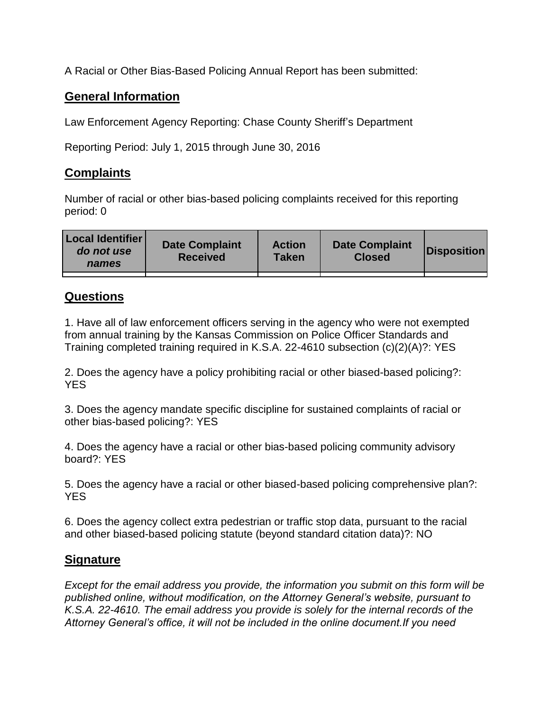A Racial or Other Bias-Based Policing Annual Report has been submitted:

## **General Information**

Law Enforcement Agency Reporting: Chase County Sheriff's Department

Reporting Period: July 1, 2015 through June 30, 2016

## **Complaints**

Number of racial or other bias-based policing complaints received for this reporting period: 0

| <b>Local Identifier</b><br>do not use<br>names | <b>Date Complaint</b><br><b>Received</b> | <b>Action</b><br><b>Taken</b> | <b>Date Complaint</b><br><b>Closed</b> | Disposition |
|------------------------------------------------|------------------------------------------|-------------------------------|----------------------------------------|-------------|
|                                                |                                          |                               |                                        |             |

## **Questions**

1. Have all of law enforcement officers serving in the agency who were not exempted from annual training by the Kansas Commission on Police Officer Standards and Training completed training required in K.S.A. 22-4610 subsection (c)(2)(A)?: YES

2. Does the agency have a policy prohibiting racial or other biased-based policing?: YES

3. Does the agency mandate specific discipline for sustained complaints of racial or other bias-based policing?: YES

4. Does the agency have a racial or other bias-based policing community advisory board?: YES

5. Does the agency have a racial or other biased-based policing comprehensive plan?: YES

6. Does the agency collect extra pedestrian or traffic stop data, pursuant to the racial and other biased-based policing statute (beyond standard citation data)?: NO

## **Signature**

*Except for the email address you provide, the information you submit on this form will be published online, without modification, on the Attorney General's website, pursuant to K.S.A. 22-4610. The email address you provide is solely for the internal records of the Attorney General's office, it will not be included in the online document.If you need*